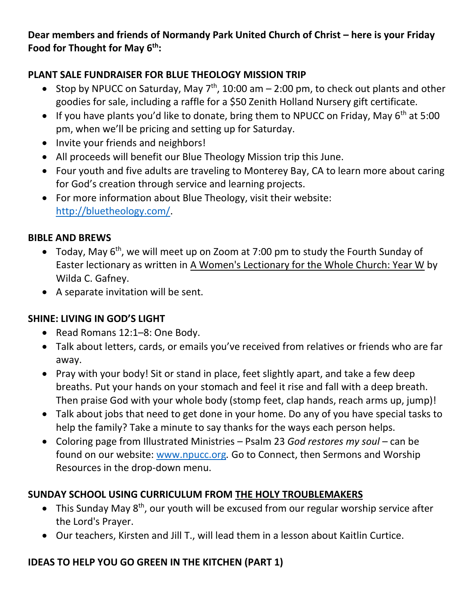**Dear members and friends of Normandy Park United Church of Christ – here is your Friday Food for Thought for May 6th:**

### **PLANT SALE FUNDRAISER FOR BLUE THEOLOGY MISSION TRIP**

- Stop by NPUCC on Saturday, May  $7<sup>th</sup>$ , 10:00 am 2:00 pm, to check out plants and other goodies for sale, including a raffle for a \$50 Zenith Holland Nursery gift certificate.
- If you have plants you'd like to donate, bring them to NPUCC on Friday, May 6<sup>th</sup> at 5:00 pm, when we'll be pricing and setting up for Saturday.
- Invite your friends and neighbors!
- All proceeds will benefit our Blue Theology Mission trip this June.
- Four youth and five adults are traveling to Monterey Bay, CA to learn more about caring for God's creation through service and learning projects.
- For more information about Blue Theology, visit their website: [http://bluetheology.com/.](http://bluetheology.com/)

#### **BIBLE AND BREWS**

- Today, May 6<sup>th</sup>, we will meet up on Zoom at 7:00 pm to study the Fourth Sunday of Easter lectionary as written in A Women's Lectionary for the Whole Church: Year W by Wilda C. Gafney.
- A separate invitation will be sent.

### **SHINE: LIVING IN GOD'S LIGHT**

- Read Romans 12:1–8: One Body.
- Talk about letters, cards, or emails you've received from relatives or friends who are far away.
- Pray with your body! Sit or stand in place, feet slightly apart, and take a few deep breaths. Put your hands on your stomach and feel it rise and fall with a deep breath. Then praise God with your whole body (stomp feet, clap hands, reach arms up, jump)!
- Talk about jobs that need to get done in your home. Do any of you have special tasks to help the family? Take a minute to say thanks for the ways each person helps.
- Coloring page from Illustrated Ministries Psalm 23 *God restores my soul* can be found on our website: [www.npucc.org](http://www.npucc.org/)*.* Go to Connect, then Sermons and Worship Resources in the drop-down menu.

### **SUNDAY SCHOOL USING CURRICULUM FROM THE HOLY TROUBLEMAKERS**

- This Sunday May  $8<sup>th</sup>$ , our youth will be excused from our regular worship service after the Lord's Prayer.
- Our teachers, Kirsten and Jill T., will lead them in a lesson about Kaitlin Curtice.

# **IDEAS TO HELP YOU GO GREEN IN THE KITCHEN (PART 1)**